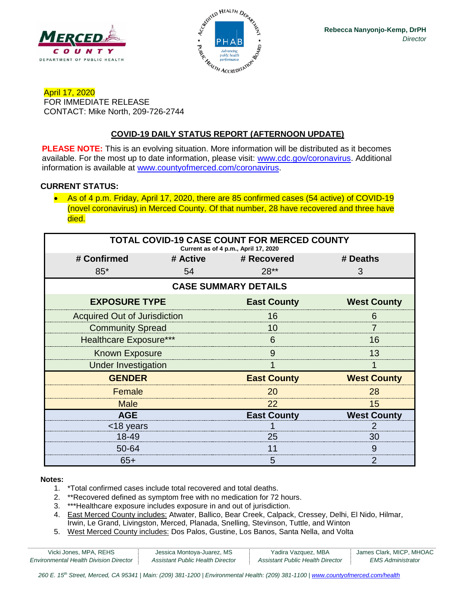



April 17, 2020 FOR IMMEDIATE RELEASE CONTACT: Mike North, 209-726-2744

# **COVID-19 DAILY STATUS REPORT (AFTERNOON UPDATE)**

**PLEASE NOTE:** This is an evolving situation. More information will be distributed as it becomes available. For the most up to date information, please visit: [www.cdc.gov/coronavirus.](http://www.cdc.gov/coronavirus) Additional information is available at [www.countyofmerced.com/coronavirus.](http://www.countyofmerced.com/coronavirus)

#### **CURRENT STATUS:**

• As of 4 p.m. Friday, April 17, 2020, there are 85 confirmed cases (54 active) of COVID-19 (novel coronavirus) in Merced County. Of that number, 28 have recovered and three have died.

| <b>TOTAL COVID-19 CASE COUNT FOR MERCED COUNTY</b><br>Current as of 4 p.m., April 17, 2020 |    |                      |                    |  |  |
|--------------------------------------------------------------------------------------------|----|----------------------|--------------------|--|--|
| # Confirmed                                                                                |    | # Active # Recovered | # Deaths           |  |  |
| $85*$                                                                                      | 54 | $28**$               | 3                  |  |  |
| <b>CASE SUMMARY DETAILS</b>                                                                |    |                      |                    |  |  |
| <b>EXPOSURE TYPE</b>                                                                       |    | <b>East County</b>   | <b>West County</b> |  |  |
| <b>Acquired Out of Jurisdiction</b>                                                        |    | 16                   | 6                  |  |  |
| <b>Community Spread</b>                                                                    |    | 10                   |                    |  |  |
| <b>Healthcare Exposure***</b>                                                              |    | 6                    | 16                 |  |  |
| <b>Known Exposure</b>                                                                      |    | 9                    | 13                 |  |  |
| <b>Under Investigation</b>                                                                 |    |                      |                    |  |  |
| <b>GENDER</b>                                                                              |    | <b>East County</b>   | <b>West County</b> |  |  |
| Female                                                                                     |    | 20                   | 28                 |  |  |
| <b>Male</b>                                                                                |    | 22                   | 15                 |  |  |
| <b>AGE</b>                                                                                 |    | <b>East County</b>   | <b>West County</b> |  |  |
| <18 years                                                                                  |    |                      |                    |  |  |
| 18-49                                                                                      |    | 25                   | 30                 |  |  |
| 50-64                                                                                      |    | 11                   | 9                  |  |  |
| $65+$                                                                                      |    | 5                    |                    |  |  |

#### **Notes:**

- 1. \*Total confirmed cases include total recovered and total deaths.
- 2. \*\*Recovered defined as symptom free with no medication for 72 hours.
- 3. \*\*\*Healthcare exposure includes exposure in and out of jurisdiction.
- 4. East Merced County includes: Atwater, Ballico, Bear Creek, Calpack, Cressey, Delhi, El Nido, Hilmar, Irwin, Le Grand, Livingston, Merced, Planada, Snelling, Stevinson, Tuttle, and Winton
- 5. West Merced County includes: Dos Palos, Gustine, Los Banos, Santa Nella, and Volta

| Vicki Jones, MPA, REHS                 | Jessica Montoya-Juarez, MS       | Yadira Vazquez, MBA              | James Clark, MICP, MHOAC |
|----------------------------------------|----------------------------------|----------------------------------|--------------------------|
| Environmental Health Division Director | Assistant Public Health Director | Assistant Public Health Director | EMS Administrator        |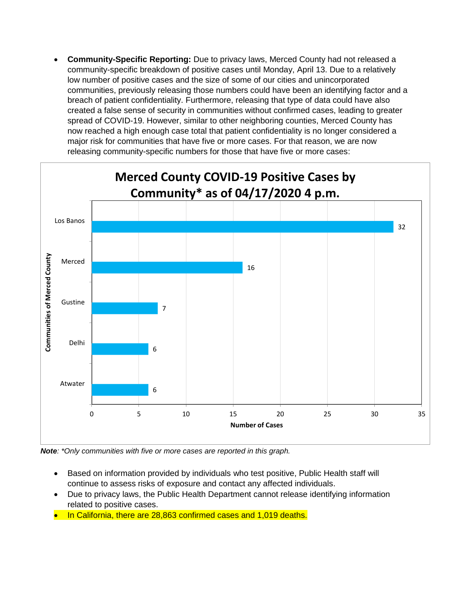• **Community-Specific Reporting:** Due to privacy laws, Merced County had not released a community-specific breakdown of positive cases until Monday, April 13. Due to a relatively low number of positive cases and the size of some of our cities and unincorporated communities, previously releasing those numbers could have been an identifying factor and a breach of patient confidentiality. Furthermore, releasing that type of data could have also created a false sense of security in communities without confirmed cases, leading to greater spread of COVID-19. However, similar to other neighboring counties, Merced County has now reached a high enough case total that patient confidentiality is no longer considered a major risk for communities that have five or more cases. For that reason, we are now releasing community-specific numbers for those that have five or more cases:



*Note: \*Only communities with five or more cases are reported in this graph.*

- Based on information provided by individuals who test positive, Public Health staff will continue to assess risks of exposure and contact any affected individuals.
- Due to privacy laws, the Public Health Department cannot release identifying information related to positive cases.
- In California, there are 28,863 confirmed cases and 1,019 deaths.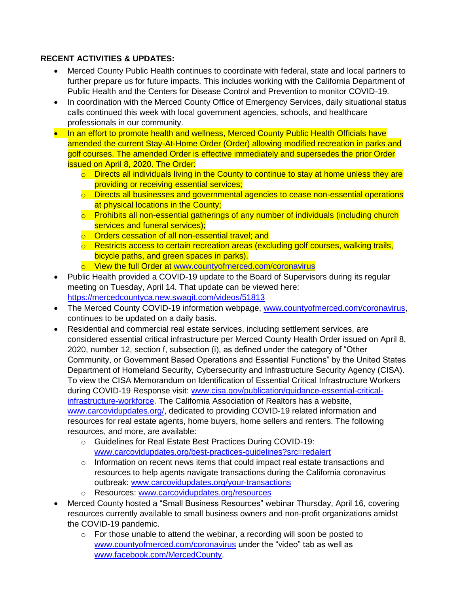## **RECENT ACTIVITIES & UPDATES:**

- Merced County Public Health continues to coordinate with federal, state and local partners to further prepare us for future impacts. This includes working with the California Department of Public Health and the Centers for Disease Control and Prevention to monitor COVID-19.
- In coordination with the Merced County Office of Emergency Services, daily situational status calls continued this week with local government agencies, schools, and healthcare professionals in our community.
- In an effort to promote health and wellness, Merced County Public Health Officials have amended the current Stay-At-Home Order (Order) allowing modified recreation in parks and golf courses. The amended Order is effective immediately and supersedes the prior Order issued on April 8, 2020. The Order:
	- $\circ$  Directs all individuals living in the County to continue to stay at home unless they are providing or receiving essential services;
	- o Directs all businesses and governmental agencies to cease non-essential operations at physical locations in the County;
	- o Prohibits all non-essential gatherings of any number of individuals (including church services and funeral services);
	- o Orders cessation of all non-essential travel; and
	- $\circ$  Restricts access to certain recreation areas (excluding golf courses, walking trails, bicycle paths, and green spaces in parks).
	- o View the full Order at [www.countyofmerced.com/coronavirus](http://www.countyofmerced.com/coronavirus)
- Public Health provided a COVID-19 update to the Board of Supervisors during its regular meeting on Tuesday, April 14. That update can be viewed here: <https://mercedcountyca.new.swagit.com/videos/51813>
- The Merced County COVID-19 information webpage, [www.countyofmerced.com/coronavirus,](http://www.countyofmerced.com/coronavirus) continues to be updated on a daily basis.
- Residential and commercial real estate services, including settlement services, are considered essential critical infrastructure per Merced County Health Order issued on April 8, 2020, number 12, section f, subsection (i), as defined under the category of "Other Community, or Government Based Operations and Essential Functions" by the United States Department of Homeland Security, Cybersecurity and Infrastructure Security Agency (CISA). To view the CISA Memorandum on Identification of Essential Critical Infrastructure Workers during COVID-19 Response visit: [www.cisa.gov/publication/guidance-essential-critical](http://www.cisa.gov/publication/guidance-essential-critical-infrastructure-workforce)[infrastructure-workforce.](http://www.cisa.gov/publication/guidance-essential-critical-infrastructure-workforce) The California Association of Realtors has a website. [www.carcovidupdates.org/,](http://www.carcovidupdates.org/) dedicated to providing COVID-19 related information and resources for real estate agents, home buyers, home sellers and renters. The following resources, and more, are available:
	- o Guidelines for Real Estate Best Practices During COVID-19: [www.carcovidupdates.org/best-practices-guidelines?src=redalert](http://www.carcovidupdates.org/best-practices-guidelines?src=redalert)
	- o Information on recent news items that could impact real estate transactions and resources to help agents navigate transactions during the California coronavirus outbreak: [www.carcovidupdates.org/your-transactions](http://www.carcovidupdates.org/your-transactions)
	- o Resources: [www.carcovidupdates.org/resources](http://www.carcovidupdates.org/resources)
- Merced County hosted a "Small Business Resources" webinar Thursday, April 16, covering resources currently available to small business owners and non-profit organizations amidst the COVID-19 pandemic.
	- $\circ$  For those unable to attend the webinar, a recording will soon be posted to [www.countyofmerced.com/coronavirus](http://www.countyofmerced.com/coronavirus) under the "video" tab as well as [www.facebook.com/MercedCounty.](http://www.facebook.com/MercedCounty)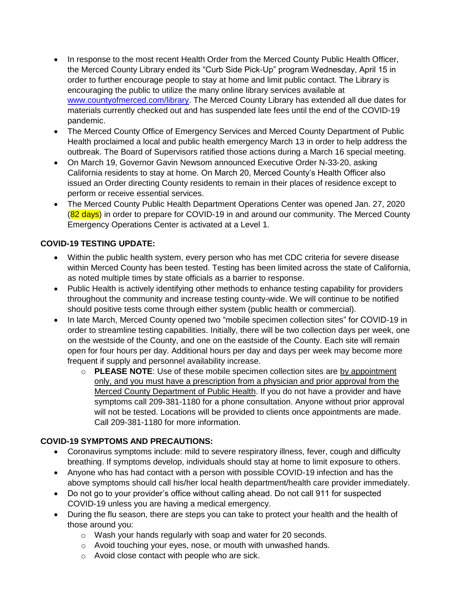- In response to the most recent Health Order from the Merced County Public Health Officer, the Merced County Library ended its "Curb Side Pick-Up" program Wednesday, April 15 in order to further encourage people to stay at home and limit public contact. The Library is encouraging the public to utilize the many online library services available at [www.countyofmerced.com/library.](http://www.countyofmerced.com/library) The Merced County Library has extended all due dates for materials currently checked out and has suspended late fees until the end of the COVID-19 pandemic.
- The Merced County Office of Emergency Services and Merced County Department of Public Health proclaimed a local and public health emergency March 13 in order to help address the outbreak. The Board of Supervisors ratified those actions during a March 16 special meeting.
- On March 19, Governor Gavin Newsom announced Executive Order N-33-20, asking California residents to stay at home. On March 20, Merced County's Health Officer also issued an Order directing County residents to remain in their places of residence except to perform or receive essential services.
- The Merced County Public Health Department Operations Center was opened Jan. 27, 2020 (82 days) in order to prepare for COVID-19 in and around our community. The Merced County Emergency Operations Center is activated at a Level 1.

# **COVID-19 TESTING UPDATE:**

- Within the public health system, every person who has met CDC criteria for severe disease within Merced County has been tested. Testing has been limited across the state of California, as noted multiple times by state officials as a barrier to response.
- Public Health is actively identifying other methods to enhance testing capability for providers throughout the community and increase testing county-wide. We will continue to be notified should positive tests come through either system (public health or commercial).
- In late March, Merced County opened two "mobile specimen collection sites" for COVID-19 in order to streamline testing capabilities. Initially, there will be two collection days per week, one on the westside of the County, and one on the eastside of the County. Each site will remain open for four hours per day. Additional hours per day and days per week may become more frequent if supply and personnel availability increase.
	- o **PLEASE NOTE**: Use of these mobile specimen collection sites are by appointment only, and you must have a prescription from a physician and prior approval from the Merced County Department of Public Health. If you do not have a provider and have symptoms call 209-381-1180 for a phone consultation. Anyone without prior approval will not be tested. Locations will be provided to clients once appointments are made. Call 209-381-1180 for more information.

### **COVID-19 SYMPTOMS AND PRECAUTIONS:**

- Coronavirus symptoms include: mild to severe respiratory illness, fever, cough and difficulty breathing. If symptoms develop, individuals should stay at home to limit exposure to others.
- Anyone who has had contact with a person with possible COVID-19 infection and has the above symptoms should call his/her local health department/health care provider immediately.
- Do not go to your provider's office without calling ahead. Do not call 911 for suspected COVID-19 unless you are having a medical emergency.
- During the flu season, there are steps you can take to protect your health and the health of those around you:
	- o Wash your hands regularly with soap and water for 20 seconds.
	- o Avoid touching your eyes, nose, or mouth with unwashed hands.
	- o Avoid close contact with people who are sick.